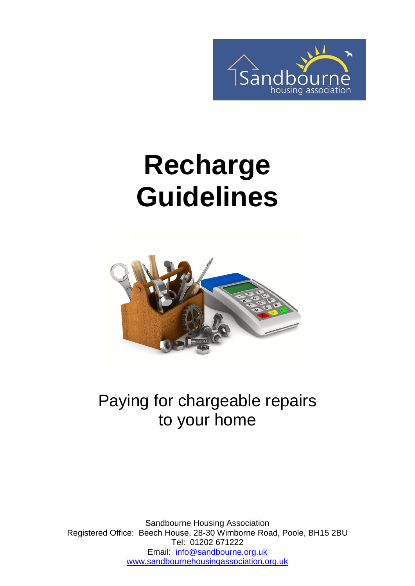

# **Recharge Guidelines**



#### Paying for chargeable repairs to your home

Sandbourne Housing Association Registered Office: Beech House, 28-30 Wimborne Road, Poole, BH15 2BU Tel: 01202 671222 Email: [info@sandbourne.org.uk](mailto:info@sandbourne.org.uk) [www.sandbournehousingassociation.org.uk](http://www.sandbournehousingassociation.org.uk/)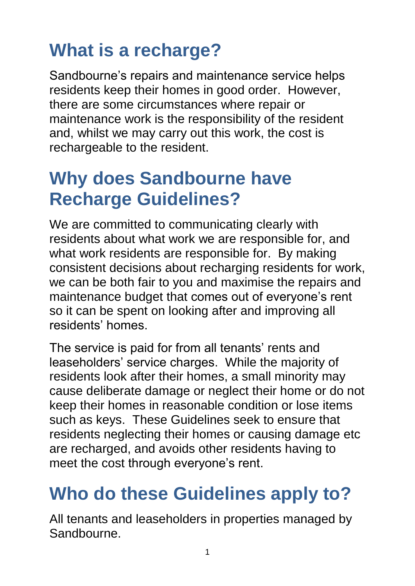## **What is a recharge?**

Sandbourne's repairs and maintenance service helps residents keep their homes in good order. However, there are some circumstances where repair or maintenance work is the responsibility of the resident and, whilst we may carry out this work, the cost is rechargeable to the resident.

#### **Why does Sandbourne have Recharge Guidelines?**

We are committed to communicating clearly with residents about what work we are responsible for, and what work residents are responsible for. By making consistent decisions about recharging residents for work, we can be both fair to you and maximise the repairs and maintenance budget that comes out of everyone's rent so it can be spent on looking after and improving all residents' homes.

The service is paid for from all tenants' rents and leaseholders' service charges. While the majority of residents look after their homes, a small minority may cause deliberate damage or neglect their home or do not keep their homes in reasonable condition or lose items such as keys. These Guidelines seek to ensure that residents neglecting their homes or causing damage etc are recharged, and avoids other residents having to meet the cost through everyone's rent.

#### **Who do these Guidelines apply to?**

All tenants and leaseholders in properties managed by Sandbourne.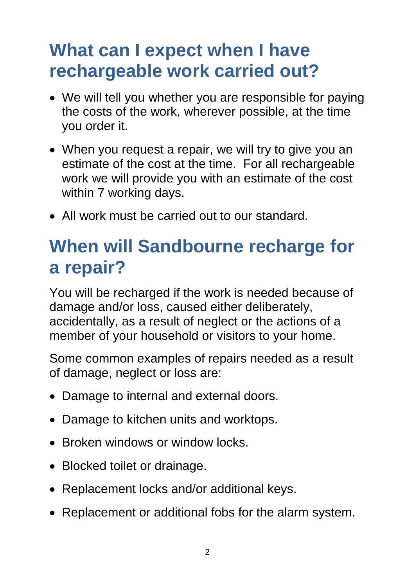#### **What can I expect when I have rechargeable work carried out?**

- We will tell you whether you are responsible for paying the costs of the work, wherever possible, at the time you order it.
- When you request a repair, we will try to give you an estimate of the cost at the time. For all rechargeable work we will provide you with an estimate of the cost within 7 working days.
- All work must be carried out to our standard.

#### **When will Sandbourne recharge for a repair?**

You will be recharged if the work is needed because of damage and/or loss, caused either deliberately, accidentally, as a result of neglect or the actions of a member of your household or visitors to your home.

Some common examples of repairs needed as a result of damage, neglect or loss are:

- Damage to internal and external doors.
- Damage to kitchen units and worktops.
- Broken windows or window locks.
- Blocked toilet or drainage.
- Replacement locks and/or additional keys.
- Replacement or additional fobs for the alarm system.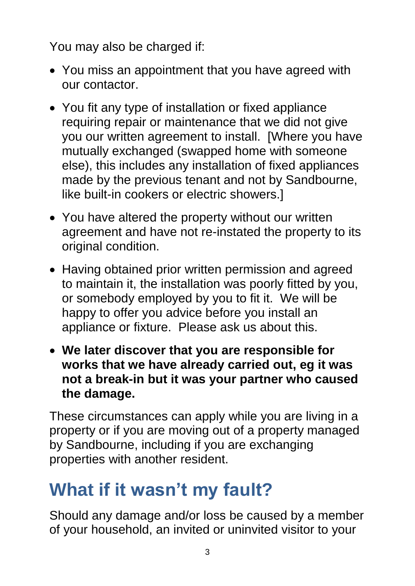You may also be charged if:

- You miss an appointment that you have agreed with our contactor.
- You fit any type of installation or fixed appliance requiring repair or maintenance that we did not give you our written agreement to install. [Where you have mutually exchanged (swapped home with someone else), this includes any installation of fixed appliances made by the previous tenant and not by Sandbourne, like built-in cookers or electric showers.]
- You have altered the property without our written agreement and have not re-instated the property to its original condition.
- Having obtained prior written permission and agreed to maintain it, the installation was poorly fitted by you, or somebody employed by you to fit it. We will be happy to offer you advice before you install an appliance or fixture. Please ask us about this.
- **We later discover that you are responsible for works that we have already carried out, eg it was not a break-in but it was your partner who caused the damage.**

These circumstances can apply while you are living in a property or if you are moving out of a property managed by Sandbourne, including if you are exchanging properties with another resident.

#### **What if it wasn't my fault?**

Should any damage and/or loss be caused by a member of your household, an invited or uninvited visitor to your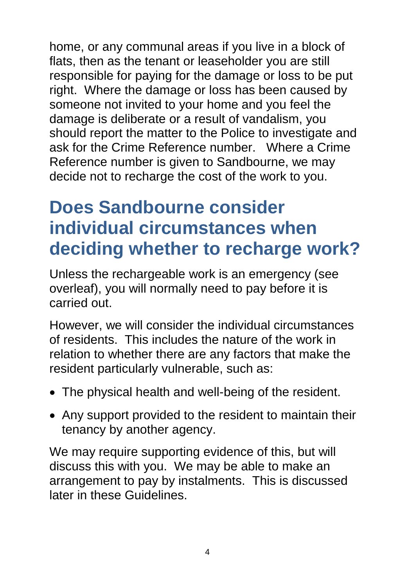home, or any communal areas if you live in a block of flats, then as the tenant or leaseholder you are still responsible for paying for the damage or loss to be put right. Where the damage or loss has been caused by someone not invited to your home and you feel the damage is deliberate or a result of vandalism, you should report the matter to the Police to investigate and ask for the Crime Reference number. Where a Crime Reference number is given to Sandbourne, we may decide not to recharge the cost of the work to you.

#### **Does Sandbourne consider individual circumstances when deciding whether to recharge work?**

Unless the rechargeable work is an emergency (see overleaf), you will normally need to pay before it is carried out.

However, we will consider the individual circumstances of residents. This includes the nature of the work in relation to whether there are any factors that make the resident particularly vulnerable, such as:

- The physical health and well-being of the resident.
- Any support provided to the resident to maintain their tenancy by another agency.

We may require supporting evidence of this, but will discuss this with you. We may be able to make an arrangement to pay by instalments. This is discussed later in these Guidelines.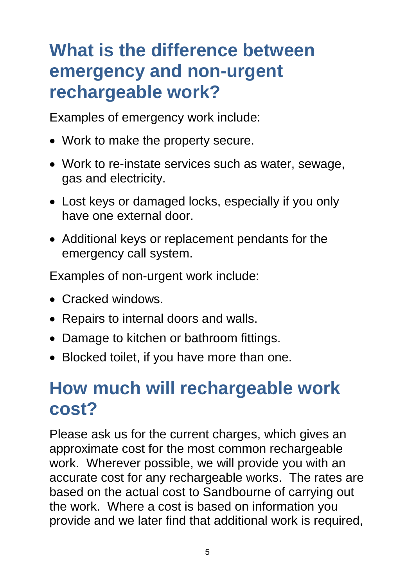#### **What is the difference between emergency and non-urgent rechargeable work?**

Examples of emergency work include:

- Work to make the property secure.
- Work to re-instate services such as water, sewage, gas and electricity.
- Lost keys or damaged locks, especially if you only have one external door.
- Additional keys or replacement pendants for the emergency call system.

Examples of non-urgent work include:

- Cracked windows.
- Repairs to internal doors and walls.
- Damage to kitchen or bathroom fittings.
- Blocked toilet, if you have more than one.

#### **How much will rechargeable work cost?**

Please ask us for the current charges, which gives an approximate cost for the most common rechargeable work. Wherever possible, we will provide you with an accurate cost for any rechargeable works. The rates are based on the actual cost to Sandbourne of carrying out the work. Where a cost is based on information you provide and we later find that additional work is required,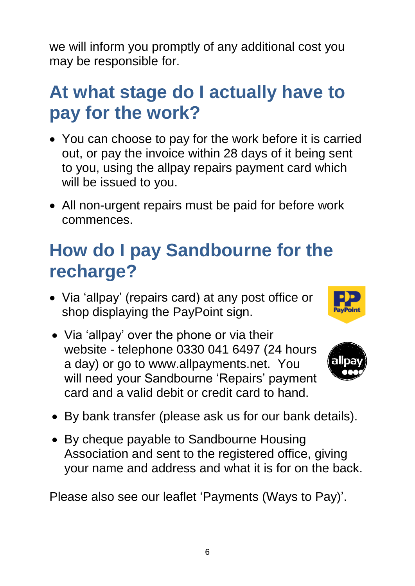we will inform you promptly of any additional cost you may be responsible for.

#### **At what stage do I actually have to pay for the work?**

- You can choose to pay for the work before it is carried out, or pay the invoice within 28 days of it being sent to you, using the allpay repairs payment card which will be issued to you.
- All non-urgent repairs must be paid for before work commences.

#### **How do I pay Sandbourne for the recharge?**

- Via 'allpay' (repairs card) at any post office or shop displaying the PayPoint sign.
- Via 'allpay' over the phone or via their website - telephone 0330 041 6497 (24 hours a day) or go to www.allpayments.net. You will need your Sandbourne 'Repairs' payment card and a valid debit or credit card to hand.





- By bank transfer (please ask us for our bank details).
- By cheque payable to Sandbourne Housing Association and sent to the registered office, giving your name and address and what it is for on the back.

Please also see our leaflet 'Payments (Ways to Pay)'.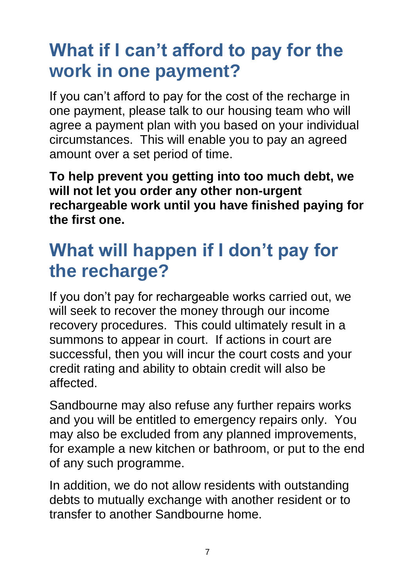### **What if I can't afford to pay for the work in one payment?**

If you can't afford to pay for the cost of the recharge in one payment, please talk to our housing team who will agree a payment plan with you based on your individual circumstances. This will enable you to pay an agreed amount over a set period of time.

**To help prevent you getting into too much debt, we will not let you order any other non-urgent rechargeable work until you have finished paying for the first one.**

#### **What will happen if I don't pay for the recharge?**

If you don't pay for rechargeable works carried out, we will seek to recover the money through our income recovery procedures. This could ultimately result in a summons to appear in court. If actions in court are successful, then you will incur the court costs and your credit rating and ability to obtain credit will also be affected.

Sandbourne may also refuse any further repairs works and you will be entitled to emergency repairs only. You may also be excluded from any planned improvements, for example a new kitchen or bathroom, or put to the end of any such programme.

In addition, we do not allow residents with outstanding debts to mutually exchange with another resident or to transfer to another Sandbourne home.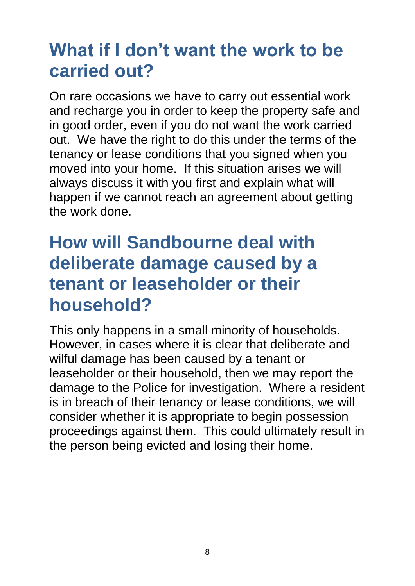#### **What if I don't want the work to be carried out?**

On rare occasions we have to carry out essential work and recharge you in order to keep the property safe and in good order, even if you do not want the work carried out. We have the right to do this under the terms of the tenancy or lease conditions that you signed when you moved into your home. If this situation arises we will always discuss it with you first and explain what will happen if we cannot reach an agreement about getting the work done.

#### **How will Sandbourne deal with deliberate damage caused by a tenant or leaseholder or their household?**

This only happens in a small minority of households. However, in cases where it is clear that deliberate and wilful damage has been caused by a tenant or leaseholder or their household, then we may report the damage to the Police for investigation. Where a resident is in breach of their tenancy or lease conditions, we will consider whether it is appropriate to begin possession proceedings against them. This could ultimately result in the person being evicted and losing their home.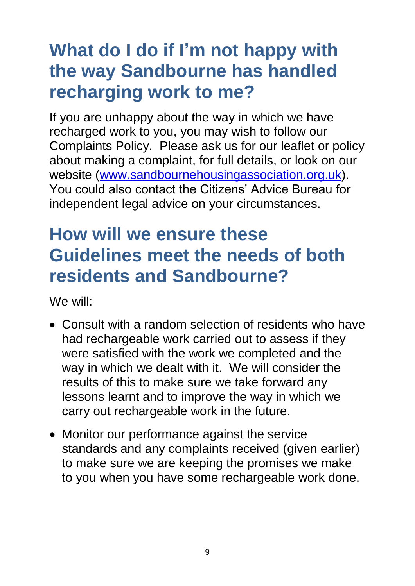#### **What do I do if I'm not happy with the way Sandbourne has handled recharging work to me?**

If you are unhappy about the way in which we have recharged work to you, you may wish to follow our Complaints Policy. Please ask us for our leaflet or policy about making a complaint, for full details, or look on our website [\(www.sandbournehousingassociation.org.uk\)](http://www.sandbournehousingassociation.org.uk/). You could also contact the Citizens' Advice Bureau for independent legal advice on your circumstances.

#### **How will we ensure these Guidelines meet the needs of both residents and Sandbourne?**

We will:

- Consult with a random selection of residents who have had rechargeable work carried out to assess if they were satisfied with the work we completed and the way in which we dealt with it. We will consider the results of this to make sure we take forward any lessons learnt and to improve the way in which we carry out rechargeable work in the future.
- Monitor our performance against the service standards and any complaints received (given earlier) to make sure we are keeping the promises we make to you when you have some rechargeable work done.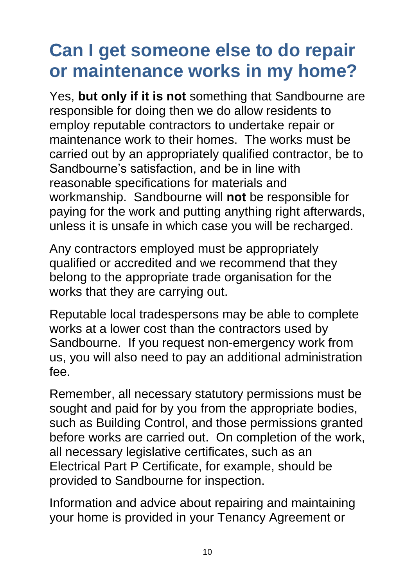#### **Can I get someone else to do repair or maintenance works in my home?**

Yes, **but only if it is not** something that Sandbourne are responsible for doing then we do allow residents to employ reputable contractors to undertake repair or maintenance work to their homes. The works must be carried out by an appropriately qualified contractor, be to Sandbourne's satisfaction, and be in line with reasonable specifications for materials and workmanship. Sandbourne will **not** be responsible for paying for the work and putting anything right afterwards, unless it is unsafe in which case you will be recharged.

Any contractors employed must be appropriately qualified or accredited and we recommend that they belong to the appropriate trade organisation for the works that they are carrying out.

Reputable local tradespersons may be able to complete works at a lower cost than the contractors used by Sandbourne. If you request non-emergency work from us, you will also need to pay an additional administration fee.

Remember, all necessary statutory permissions must be sought and paid for by you from the appropriate bodies, such as Building Control, and those permissions granted before works are carried out. On completion of the work, all necessary legislative certificates, such as an Electrical Part P Certificate, for example, should be provided to Sandbourne for inspection.

Information and advice about repairing and maintaining your home is provided in your Tenancy Agreement or